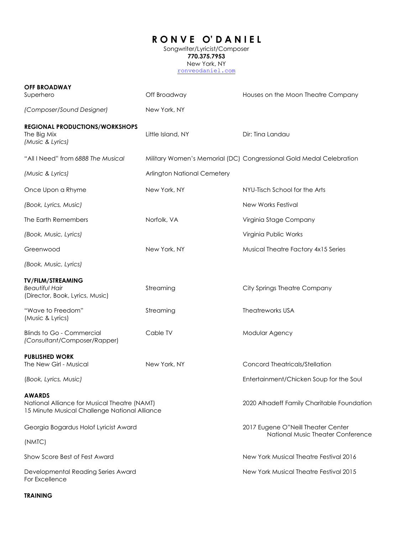## **R O N V E O' D A N I E L**

Songwriter/Lyricist/Composer **770.375.7953** New York, NY [ronveodaniel.com](http://ronveodaniel.com/)

| <b>OFF BROADWAY</b><br>Superhero                                                                               | Off Broadway                | Houses on the Moon Theatre Company                                  |
|----------------------------------------------------------------------------------------------------------------|-----------------------------|---------------------------------------------------------------------|
| (Composer/Sound Designer)                                                                                      | New York, NY                |                                                                     |
| <b>REGIONAL PRODUCTIONS/WORKSHOPS</b><br>The Big Mix<br>(Music & Lyrics)                                       | Little Island, NY           | Dir: Tina Landau                                                    |
| "All I Need" from 6888 The Musical                                                                             |                             | Military Women's Memorial (DC) Congressional Gold Medal Celebration |
| (Music & Lyrics)                                                                                               | Arlington National Cemetery |                                                                     |
| Once Upon a Rhyme                                                                                              | New York, NY                | NYU-Tisch School for the Arts                                       |
| (Book, Lyrics, Music)                                                                                          |                             | New Works Festival                                                  |
| The Earth Remembers                                                                                            | Norfolk, VA                 | Virginia Stage Company                                              |
| (Book, Music, Lyrics)                                                                                          |                             | Virginia Public Works                                               |
| Greenwood                                                                                                      | New York, NY                | Musical Theatre Factory 4x15 Series                                 |
| (Book, Music, Lyrics)                                                                                          |                             |                                                                     |
| <b>TV/FILM/STREAMING</b><br><b>Beautiful Hair</b><br>(Director, Book, Lyrics, Music)                           | Streaming                   | City Springs Theatre Company                                        |
| "Wave to Freedom"<br>(Music & Lyrics)                                                                          | Streaming                   | <b>Theatreworks USA</b>                                             |
| Blinds to Go - Commercial<br>(Consultant/Composer/Rapper)                                                      | Cable TV                    | Modular Agency                                                      |
| <b>PUBLISHED WORK</b><br>The New Girl - Musical                                                                | New York, NY                | Concord Theatricals/Stellation                                      |
| (Book, Lyrics, Music)                                                                                          |                             | Entertainment/Chicken Soup for the Soul                             |
| <b>AWARDS</b><br>National Alliance for Musical Theatre (NAMT)<br>15 Minute Musical Challenge National Alliance |                             | 2020 Alhadeff Family Charitable Foundation                          |
| Georgia Bogardus Holof Lyricist Award                                                                          |                             | 2017 Eugene O"Neill Theater Center                                  |
| (NMTC)                                                                                                         |                             | National Music Theater Conference                                   |
| Show Score Best of Fest Award                                                                                  |                             | New York Musical Theatre Festival 2016                              |
| Developmental Reading Series Award<br>For Excellence                                                           |                             | New York Musical Theatre Festival 2015                              |

## **TRAINING**